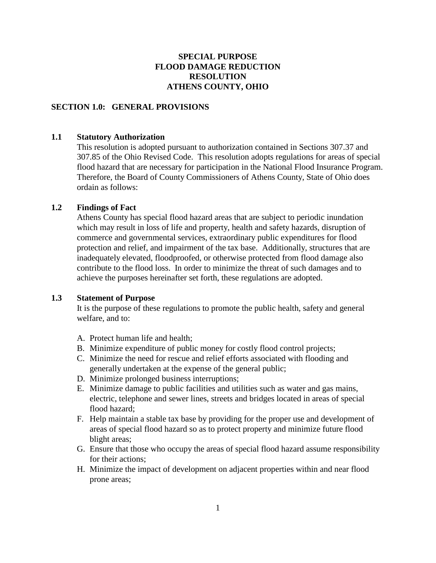# **SPECIAL PURPOSE FLOOD DAMAGE REDUCTION RESOLUTION ATHENS COUNTY, OHIO**

#### **SECTION 1.0: GENERAL PROVISIONS**

## **1.1 Statutory Authorization**

This resolution is adopted pursuant to authorization contained in Sections 307.37 and 307.85 of the Ohio Revised Code. This resolution adopts regulations for areas of special flood hazard that are necessary for participation in the National Flood Insurance Program. Therefore, the Board of County Commissioners of Athens County, State of Ohio does ordain as follows:

# **1.2 Findings of Fact**

Athens County has special flood hazard areas that are subject to periodic inundation which may result in loss of life and property, health and safety hazards, disruption of commerce and governmental services, extraordinary public expenditures for flood protection and relief, and impairment of the tax base. Additionally, structures that are inadequately elevated, floodproofed, or otherwise protected from flood damage also contribute to the flood loss. In order to minimize the threat of such damages and to achieve the purposes hereinafter set forth, these regulations are adopted.

# **1.3 Statement of Purpose**

It is the purpose of these regulations to promote the public health, safety and general welfare, and to:

- A. Protect human life and health;
- B. Minimize expenditure of public money for costly flood control projects;
- C. Minimize the need for rescue and relief efforts associated with flooding and generally undertaken at the expense of the general public;
- D. Minimize prolonged business interruptions;
- E. Minimize damage to public facilities and utilities such as water and gas mains, electric, telephone and sewer lines, streets and bridges located in areas of special flood hazard;
- F. Help maintain a stable tax base by providing for the proper use and development of areas of special flood hazard so as to protect property and minimize future flood blight areas;
- G. Ensure that those who occupy the areas of special flood hazard assume responsibility for their actions;
- H. Minimize the impact of development on adjacent properties within and near flood prone areas;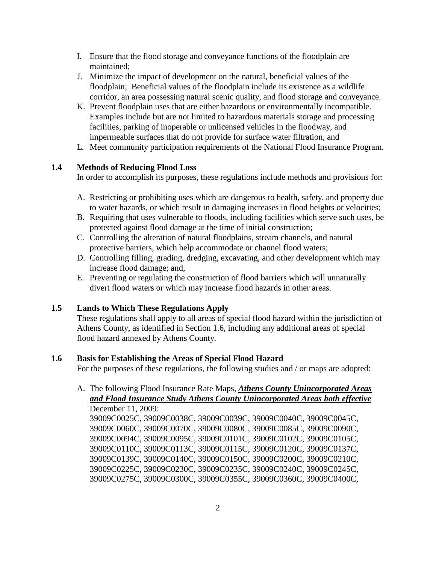- I. Ensure that the flood storage and conveyance functions of the floodplain are maintained;
- J. Minimize the impact of development on the natural, beneficial values of the floodplain; Beneficial values of the floodplain include its existence as a wildlife corridor, an area possessing natural scenic quality, and flood storage and conveyance.
- K. Prevent floodplain uses that are either hazardous or environmentally incompatible. Examples include but are not limited to hazardous materials storage and processing facilities, parking of inoperable or unlicensed vehicles in the floodway, and impermeable surfaces that do not provide for surface water filtration, and
- L. Meet community participation requirements of the National Flood Insurance Program.

# **1.4 Methods of Reducing Flood Loss**

In order to accomplish its purposes, these regulations include methods and provisions for:

- A. Restricting or prohibiting uses which are dangerous to health, safety, and property due to water hazards, or which result in damaging increases in flood heights or velocities;
- B. Requiring that uses vulnerable to floods, including facilities which serve such uses, be protected against flood damage at the time of initial construction;
- C. Controlling the alteration of natural floodplains, stream channels, and natural protective barriers, which help accommodate or channel flood waters;
- D. Controlling filling, grading, dredging, excavating, and other development which may increase flood damage; and,
- E. Preventing or regulating the construction of flood barriers which will unnaturally divert flood waters or which may increase flood hazards in other areas.

# **1.5 Lands to Which These Regulations Apply**

These regulations shall apply to all areas of special flood hazard within the jurisdiction of Athens County, as identified in Section 1.6, including any additional areas of special flood hazard annexed by Athens County.

# **1.6 Basis for Establishing the Areas of Special Flood Hazard**

For the purposes of these regulations, the following studies and / or maps are adopted:

# A. The following Flood Insurance Rate Maps, *Athens County Unincorporated Areas and Flood Insurance Study Athens County Unincorporated Areas both effective* December 11, 2009:

39009C0025C, 39009C0038C, 39009C0039C, 39009C0040C, 39009C0045C, 39009C0060C, 39009C0070C, 39009C0080C, 39009C0085C, 39009C0090C, 39009C0094C, 39009C0095C, 39009C0101C, 39009C0102C, 39009C0105C, 39009C0110C, 39009C0113C, 39009C0115C, 39009C0120C, 39009C0137C, 39009C0139C, 39009C0140C, 39009C0150C, 39009C0200C, 39009C0210C, 39009C0225C, 39009C0230C, 39009C0235C, 39009C0240C, 39009C0245C, 39009C0275C, 39009C0300C, 39009C0355C, 39009C0360C, 39009C0400C,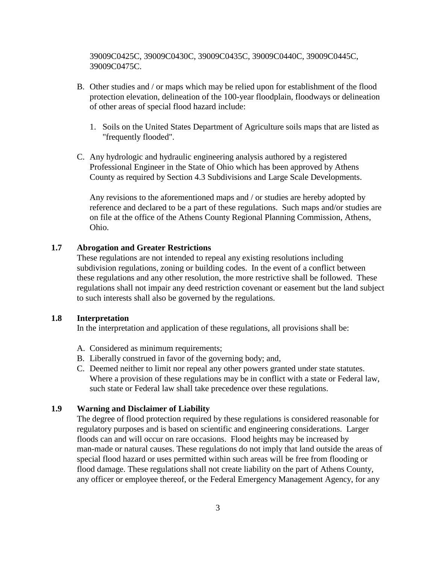39009C0425C, 39009C0430C, 39009C0435C, 39009C0440C, 39009C0445C, 39009C0475C.

- B. Other studies and / or maps which may be relied upon for establishment of the flood protection elevation, delineation of the 100-year floodplain, floodways or delineation of other areas of special flood hazard include:
	- 1. Soils on the United States Department of Agriculture soils maps that are listed as "frequently flooded".
- C. Any hydrologic and hydraulic engineering analysis authored by a registered Professional Engineer in the State of Ohio which has been approved by Athens County as required by Section 4.3 Subdivisions and Large Scale Developments.

Any revisions to the aforementioned maps and / or studies are hereby adopted by reference and declared to be a part of these regulations. Such maps and/or studies are on file at the office of the Athens County Regional Planning Commission, Athens, Ohio.

# **1.7 Abrogation and Greater Restrictions**

These regulations are not intended to repeal any existing resolutions including subdivision regulations, zoning or building codes. In the event of a conflict between these regulations and any other resolution, the more restrictive shall be followed. These regulations shall not impair any deed restriction covenant or easement but the land subject to such interests shall also be governed by the regulations.

# **1.8 Interpretation**

In the interpretation and application of these regulations, all provisions shall be:

- A. Considered as minimum requirements;
- B. Liberally construed in favor of the governing body; and,
- C. Deemed neither to limit nor repeal any other powers granted under state statutes. Where a provision of these regulations may be in conflict with a state or Federal law, such state or Federal law shall take precedence over these regulations.

## **1.9 Warning and Disclaimer of Liability**

The degree of flood protection required by these regulations is considered reasonable for regulatory purposes and is based on scientific and engineering considerations. Larger floods can and will occur on rare occasions. Flood heights may be increased by man-made or natural causes. These regulations do not imply that land outside the areas of special flood hazard or uses permitted within such areas will be free from flooding or flood damage. These regulations shall not create liability on the part of Athens County, any officer or employee thereof, or the Federal Emergency Management Agency, for any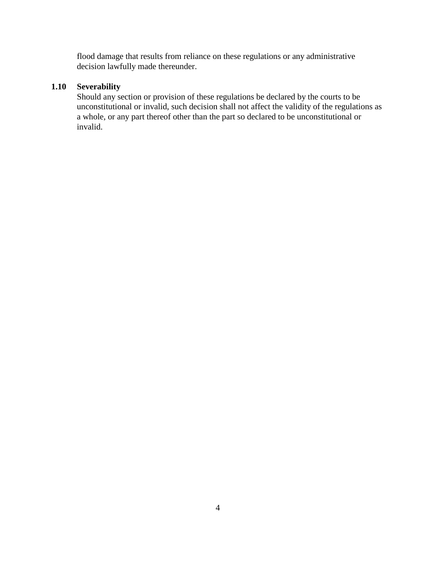flood damage that results from reliance on these regulations or any administrative decision lawfully made thereunder.

# **1.10 Severability**

Should any section or provision of these regulations be declared by the courts to be unconstitutional or invalid, such decision shall not affect the validity of the regulations as a whole, or any part thereof other than the part so declared to be unconstitutional or invalid.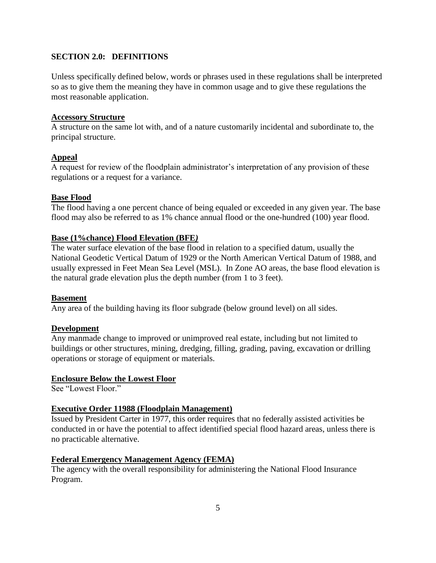# **SECTION 2.0: DEFINITIONS**

Unless specifically defined below, words or phrases used in these regulations shall be interpreted so as to give them the meaning they have in common usage and to give these regulations the most reasonable application.

## **Accessory Structure**

A structure on the same lot with, and of a nature customarily incidental and subordinate to, the principal structure.

## **Appeal**

A request for review of the floodplain administrator's interpretation of any provision of these regulations or a request for a variance.

## **Base Flood**

The flood having a one percent chance of being equaled or exceeded in any given year. The base flood may also be referred to as 1% chance annual flood or the one-hundred (100) year flood.

## **Base (1%chance) Flood Elevation (BFE***)*

The water surface elevation of the base flood in relation to a specified datum, usually the National Geodetic Vertical Datum of 1929 or the North American Vertical Datum of 1988, and usually expressed in Feet Mean Sea Level (MSL). In Zone AO areas, the base flood elevation is the natural grade elevation plus the depth number (from 1 to 3 feet).

#### **Basement**

Any area of the building having its floor subgrade (below ground level) on all sides.

# **Development**

Any manmade change to improved or unimproved real estate, including but not limited to buildings or other structures, mining, dredging, filling, grading, paving, excavation or drilling operations or storage of equipment or materials.

#### **Enclosure Below the Lowest Floor**

See "Lowest Floor."

#### **Executive Order 11988 (Floodplain Management)**

Issued by President Carter in 1977, this order requires that no federally assisted activities be conducted in or have the potential to affect identified special flood hazard areas, unless there is no practicable alternative.

#### **Federal Emergency Management Agency (FEMA)**

The agency with the overall responsibility for administering the National Flood Insurance Program.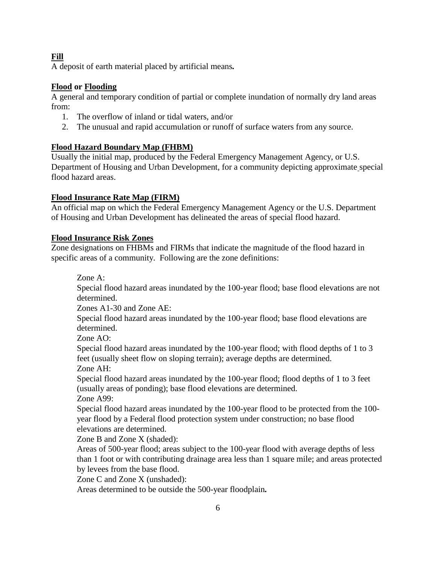**Fill**

A deposit of earth material placed by artificial means*.*

# **Flood or Flooding**

A general and temporary condition of partial or complete inundation of normally dry land areas from:

- 1. The overflow of inland or tidal waters, and/or
- 2. The unusual and rapid accumulation or runoff of surface waters from any source.

# **Flood Hazard Boundary Map (FHBM)**

Usually the initial map, produced by the Federal Emergency Management Agency, or U.S. Department of Housing and Urban Development, for a community depicting approximate special flood hazard areas.

# **Flood Insurance Rate Map (FIRM)**

An official map on which the Federal Emergency Management Agency or the U.S. Department of Housing and Urban Development has delineated the areas of special flood hazard.

# **Flood Insurance Risk Zones**

Zone designations on FHBMs and FIRMs that indicate the magnitude of the flood hazard in specific areas of a community. Following are the zone definitions:

Zone A:

Special flood hazard areas inundated by the 100-year flood; base flood elevations are not determined.

Zones A1-30 and Zone AE:

Special flood hazard areas inundated by the 100-year flood; base flood elevations are determined.

Zone AO:

Special flood hazard areas inundated by the 100-year flood; with flood depths of 1 to 3 feet (usually sheet flow on sloping terrain); average depths are determined. Zone AH:

Special flood hazard areas inundated by the 100-year flood; flood depths of 1 to 3 feet (usually areas of ponding); base flood elevations are determined. Zone A99:

Special flood hazard areas inundated by the 100-year flood to be protected from the 100 year flood by a Federal flood protection system under construction; no base flood elevations are determined.

Zone B and Zone X (shaded):

Areas of 500-year flood; areas subject to the 100-year flood with average depths of less than 1 foot or with contributing drainage area less than 1 square mile; and areas protected by levees from the base flood.

Zone C and Zone X (unshaded):

Areas determined to be outside the 500-year floodplain*.*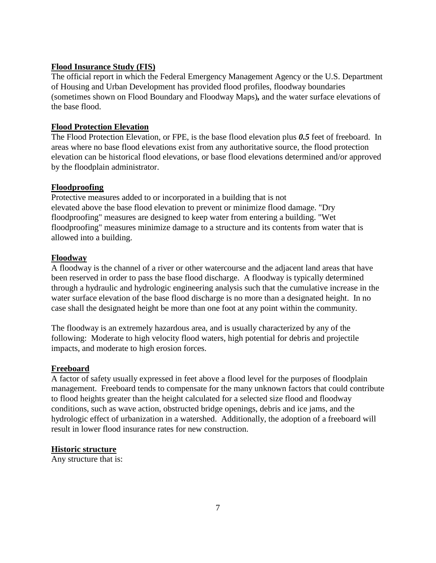# **Flood Insurance Study (FIS)**

The official report in which the Federal Emergency Management Agency or the U.S. Department of Housing and Urban Development has provided flood profiles, floodway boundaries (sometimes shown on Flood Boundary and Floodway Maps)*,* and the water surface elevations of the base flood.

## **Flood Protection Elevation**

The Flood Protection Elevation, or FPE, is the base flood elevation plus *0.5* feet of freeboard. In areas where no base flood elevations exist from any authoritative source, the flood protection elevation can be historical flood elevations, or base flood elevations determined and/or approved by the floodplain administrator.

## **Floodproofing**

Protective measures added to or incorporated in a building that is not elevated above the base flood elevation to prevent or minimize flood damage. "Dry floodproofing" measures are designed to keep water from entering a building. "Wet floodproofing" measures minimize damage to a structure and its contents from water that is allowed into a building.

## **Floodway**

A floodway is the channel of a river or other watercourse and the adjacent land areas that have been reserved in order to pass the base flood discharge. A floodway is typically determined through a hydraulic and hydrologic engineering analysis such that the cumulative increase in the water surface elevation of the base flood discharge is no more than a designated height. In no case shall the designated height be more than one foot at any point within the community.

The floodway is an extremely hazardous area, and is usually characterized by any of the following: Moderate to high velocity flood waters, high potential for debris and projectile impacts, and moderate to high erosion forces.

# **Freeboard**

A factor of safety usually expressed in feet above a flood level for the purposes of floodplain management. Freeboard tends to compensate for the many unknown factors that could contribute to flood heights greater than the height calculated for a selected size flood and floodway conditions, such as wave action, obstructed bridge openings, debris and ice jams, and the hydrologic effect of urbanization in a watershed. Additionally, the adoption of a freeboard will result in lower flood insurance rates for new construction.

#### **Historic structure**

Any structure that is: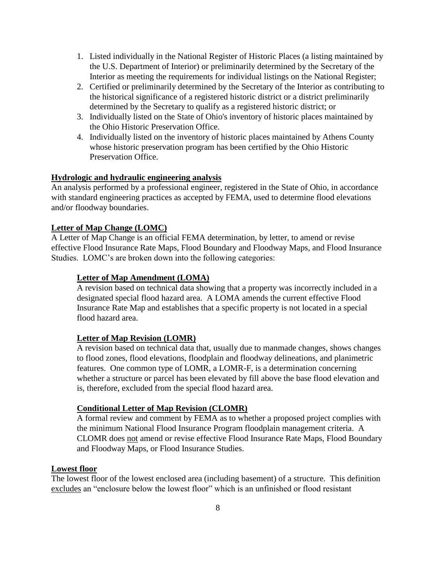- 1. Listed individually in the National Register of Historic Places (a listing maintained by the U.S. Department of Interior) or preliminarily determined by the Secretary of the Interior as meeting the requirements for individual listings on the National Register;
- 2. Certified or preliminarily determined by the Secretary of the Interior as contributing to the historical significance of a registered historic district or a district preliminarily determined by the Secretary to qualify as a registered historic district; or
- 3. Individually listed on the State of Ohio's inventory of historic places maintained by the Ohio Historic Preservation Office.
- 4. Individually listed on the inventory of historic places maintained by Athens County whose historic preservation program has been certified by the Ohio Historic Preservation Office.

## **Hydrologic and hydraulic engineering analysis**

An analysis performed by a professional engineer, registered in the State of Ohio, in accordance with standard engineering practices as accepted by FEMA, used to determine flood elevations and/or floodway boundaries.

#### **Letter of Map Change (LOMC)**

A Letter of Map Change is an official FEMA determination, by letter, to amend or revise effective Flood Insurance Rate Maps, Flood Boundary and Floodway Maps, and Flood Insurance Studies. LOMC's are broken down into the following categories:

#### **Letter of Map Amendment (LOMA)**

A revision based on technical data showing that a property was incorrectly included in a designated special flood hazard area. A LOMA amends the current effective Flood Insurance Rate Map and establishes that a specific property is not located in a special flood hazard area.

#### **Letter of Map Revision (LOMR)**

A revision based on technical data that, usually due to manmade changes, shows changes to flood zones, flood elevations, floodplain and floodway delineations, and planimetric features. One common type of LOMR, a LOMR-F, is a determination concerning whether a structure or parcel has been elevated by fill above the base flood elevation and is, therefore, excluded from the special flood hazard area.

#### **Conditional Letter of Map Revision (CLOMR)**

A formal review and comment by FEMA as to whether a proposed project complies with the minimum National Flood Insurance Program floodplain management criteria. A CLOMR does not amend or revise effective Flood Insurance Rate Maps, Flood Boundary and Floodway Maps, or Flood Insurance Studies.

# **Lowest floor**

The lowest floor of the lowest enclosed area (including basement) of a structure. This definition excludes an "enclosure below the lowest floor" which is an unfinished or flood resistant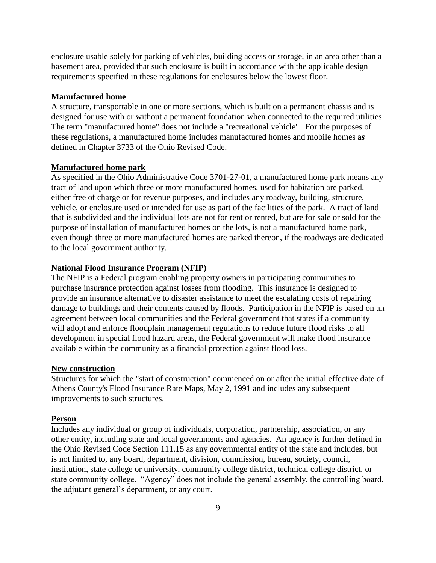enclosure usable solely for parking of vehicles, building access or storage, in an area other than a basement area, provided that such enclosure is built in accordance with the applicable design requirements specified in these regulations for enclosures below the lowest floor.

#### **Manufactured home**

A structure, transportable in one or more sections, which is built on a permanent chassis and is designed for use with or without a permanent foundation when connected to the required utilities. The term "manufactured home" does not include a "recreational vehicle". For the purposes of these regulations, a manufactured home includes manufactured homes and mobile homes a*s* defined in Chapter 3733 of the Ohio Revised Code.

#### **Manufactured home park**

As specified in the Ohio Administrative Code 3701-27-01, a manufactured home park means any tract of land upon which three or more manufactured homes, used for habitation are parked, either free of charge or for revenue purposes, and includes any roadway, building, structure, vehicle, or enclosure used or intended for use as part of the facilities of the park. A tract of land that is subdivided and the individual lots are not for rent or rented, but are for sale or sold for the purpose of installation of manufactured homes on the lots, is not a manufactured home park, even though three or more manufactured homes are parked thereon, if the roadways are dedicated to the local government authority.

#### **National Flood Insurance Program (NFIP)**

The NFIP is a Federal program enabling property owners in participating communities to purchase insurance protection against losses from flooding. This insurance is designed to provide an insurance alternative to disaster assistance to meet the escalating costs of repairing damage to buildings and their contents caused by floods. Participation in the NFIP is based on an agreement between local communities and the Federal government that states if a community will adopt and enforce floodplain management regulations to reduce future flood risks to all development in special flood hazard areas, the Federal government will make flood insurance available within the community as a financial protection against flood loss.

# **New construction**

Structures for which the "start of construction" commenced on or after the initial effective date of Athens County's Flood Insurance Rate Maps, May 2, 1991 and includes any subsequent improvements to such structures.

#### **Person**

Includes any individual or group of individuals, corporation, partnership, association, or any other entity, including state and local governments and agencies. An agency is further defined in the Ohio Revised Code Section 111.15 as any governmental entity of the state and includes, but is not limited to, any board, department, division, commission, bureau, society, council, institution, state college or university, community college district, technical college district, or state community college. "Agency" does not include the general assembly, the controlling board, the adjutant general's department, or any court.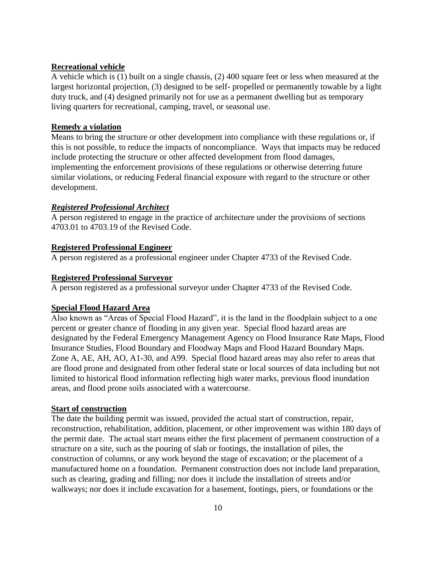#### **Recreational vehicle**

A vehicle which is (1) built on a single chassis, (2) 400 square feet or less when measured at the largest horizontal projection, (3) designed to be self- propelled or permanently towable by a light duty truck, and (4) designed primarily not for use as a permanent dwelling but as temporary living quarters for recreational, camping, travel, or seasonal use.

# **Remedy a violation**

Means to bring the structure or other development into compliance with these regulations or, if this is not possible, to reduce the impacts of noncompliance. Ways that impacts may be reduced include protecting the structure or other affected development from flood damages, implementing the enforcement provisions of these regulations or otherwise deterring future similar violations, or reducing Federal financial exposure with regard to the structure or other development.

# *Registered Professional Architect*

A person registered to engage in the practice of architecture under the provisions of sections 4703.01 to 4703.19 of the Revised Code.

# **Registered Professional Engineer**

A person registered as a professional engineer under Chapter 4733 of the Revised Code.

# **Registered Professional Surveyor**

A person registered as a professional surveyor under Chapter 4733 of the Revised Code.

# **Special Flood Hazard Area**

Also known as "Areas of Special Flood Hazard", it is the land in the floodplain subject to a one percent or greater chance of flooding in any given year. Special flood hazard areas are designated by the Federal Emergency Management Agency on Flood Insurance Rate Maps, Flood Insurance Studies, Flood Boundary and Floodway Maps and Flood Hazard Boundary Maps. Zone A, AE, AH, AO, A1-30, and A99. Special flood hazard areas may also refer to areas that are flood prone and designated from other federal state or local sources of data including but not limited to historical flood information reflecting high water marks, previous flood inundation areas, and flood prone soils associated with a watercourse.

#### **Start of construction**

The date the building permit was issued, provided the actual start of construction, repair, reconstruction, rehabilitation, addition, placement, or other improvement was within 180 days of the permit date. The actual start means either the first placement of permanent construction of a structure on a site, such as the pouring of slab or footings, the installation of piles, the construction of columns, or any work beyond the stage of excavation; or the placement of a manufactured home on a foundation. Permanent construction does not include land preparation, such as clearing, grading and filling; nor does it include the installation of streets and/or walkways; nor does it include excavation for a basement, footings, piers, or foundations or the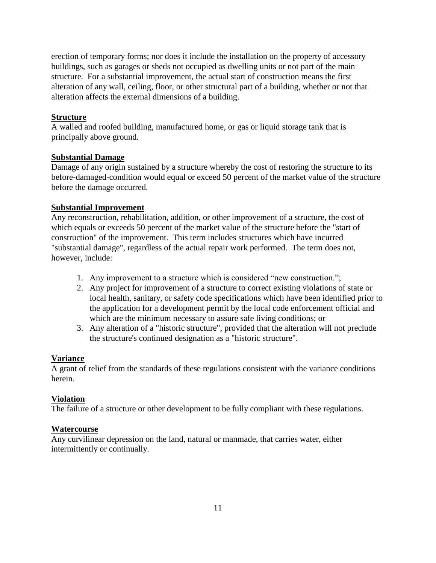erection of temporary forms; nor does it include the installation on the property of accessory buildings, such as garages or sheds not occupied as dwelling units or not part of the main structure. For a substantial improvement, the actual start of construction means the first alteration of any wall, ceiling, floor, or other structural part of a building, whether or not that alteration affects the external dimensions of a building.

#### **Structure**

A walled and roofed building, manufactured home, or gas or liquid storage tank that is principally above ground.

#### **Substantial Damage**

Damage of any origin sustained by a structure whereby the cost of restoring the structure to its before-damaged-condition would equal or exceed 50 percent of the market value of the structure before the damage occurred.

## **Substantial Improvement**

Any reconstruction, rehabilitation, addition, or other improvement of a structure, the cost of which equals or exceeds 50 percent of the market value of the structure before the "start of construction" of the improvement. This term includes structures which have incurred "substantial damage", regardless of the actual repair work performed. The term does not, however, include:

- 1. Any improvement to a structure which is considered "new construction.";
- 2. Any project for improvement of a structure to correct existing violations of state or local health, sanitary, or safety code specifications which have been identified prior to the application for a development permit by the local code enforcement official and which are the minimum necessary to assure safe living conditions; or
- 3. Any alteration of a "historic structure", provided that the alteration will not preclude the structure's continued designation as a "historic structure".

#### **Variance**

A grant of relief from the standards of these regulations consistent with the variance conditions herein.

# **Violation**

The failure of a structure or other development to be fully compliant with these regulations.

#### **Watercourse**

Any curvilinear depression on the land, natural or manmade, that carries water, either intermittently or continually.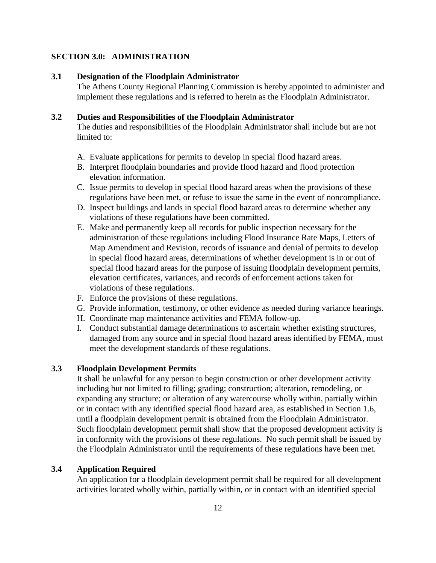# **SECTION 3.0: ADMINISTRATION**

#### **3.1 Designation of the Floodplain Administrator**

The Athens County Regional Planning Commission is hereby appointed to administer and implement these regulations and is referred to herein as the Floodplain Administrator.

## **3.2 Duties and Responsibilities of the Floodplain Administrator**

The duties and responsibilities of the Floodplain Administrator shall include but are not limited to:

- A. Evaluate applications for permits to develop in special flood hazard areas.
- B. Interpret floodplain boundaries and provide flood hazard and flood protection elevation information.
- C. Issue permits to develop in special flood hazard areas when the provisions of these regulations have been met, or refuse to issue the same in the event of noncompliance.
- D. Inspect buildings and lands in special flood hazard areas to determine whether any violations of these regulations have been committed.
- E. Make and permanently keep all records for public inspection necessary for the administration of these regulations including Flood Insurance Rate Maps, Letters of Map Amendment and Revision, records of issuance and denial of permits to develop in special flood hazard areas, determinations of whether development is in or out of special flood hazard areas for the purpose of issuing floodplain development permits, elevation certificates, variances, and records of enforcement actions taken for violations of these regulations.
- F. Enforce the provisions of these regulations.
- G. Provide information, testimony, or other evidence as needed during variance hearings.
- H. Coordinate map maintenance activities and FEMA follow-up.
- I. Conduct substantial damage determinations to ascertain whether existing structures, damaged from any source and in special flood hazard areas identified by FEMA, must meet the development standards of these regulations.

# **3.3 Floodplain Development Permits**

It shall be unlawful for any person to begin construction or other development activity including but not limited to filling; grading; construction; alteration, remodeling, or expanding any structure; or alteration of any watercourse wholly within, partially within or in contact with any identified special flood hazard area, as established in Section 1.6, until a floodplain development permit is obtained from the Floodplain Administrator. Such floodplain development permit shall show that the proposed development activity is in conformity with the provisions of these regulations. No such permit shall be issued by the Floodplain Administrator until the requirements of these regulations have been met.

#### **3.4 Application Required**

An application for a floodplain development permit shall be required for all development activities located wholly within, partially within, or in contact with an identified special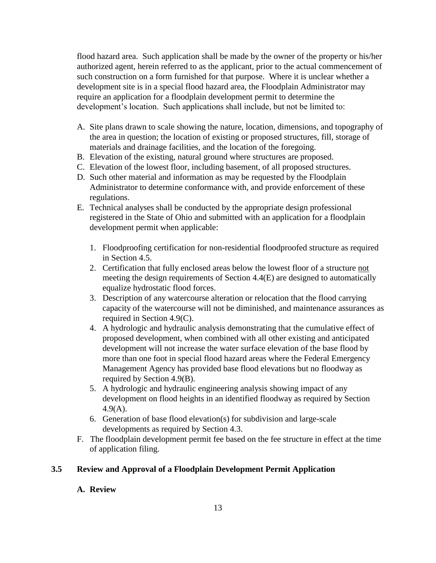flood hazard area. Such application shall be made by the owner of the property or his/her authorized agent, herein referred to as the applicant, prior to the actual commencement of such construction on a form furnished for that purpose. Where it is unclear whether a development site is in a special flood hazard area, the Floodplain Administrator may require an application for a floodplain development permit to determine the development's location. Such applications shall include, but not be limited to:

- A. Site plans drawn to scale showing the nature, location, dimensions, and topography of the area in question; the location of existing or proposed structures, fill, storage of materials and drainage facilities, and the location of the foregoing.
- B. Elevation of the existing, natural ground where structures are proposed.
- C. Elevation of the lowest floor, including basement, of all proposed structures.
- D. Such other material and information as may be requested by the Floodplain Administrator to determine conformance with, and provide enforcement of these regulations.
- E. Technical analyses shall be conducted by the appropriate design professional registered in the State of Ohio and submitted with an application for a floodplain development permit when applicable:
	- 1. Floodproofing certification for non-residential floodproofed structure as required in Section 4.5.
	- 2. Certification that fully enclosed areas below the lowest floor of a structure not meeting the design requirements of Section 4.4(E) are designed to automatically equalize hydrostatic flood forces.
	- 3. Description of any watercourse alteration or relocation that the flood carrying capacity of the watercourse will not be diminished, and maintenance assurances as required in Section 4.9(C).
	- 4. A hydrologic and hydraulic analysis demonstrating that the cumulative effect of proposed development, when combined with all other existing and anticipated development will not increase the water surface elevation of the base flood by more than one foot in special flood hazard areas where the Federal Emergency Management Agency has provided base flood elevations but no floodway as required by Section 4.9(B).
	- 5. A hydrologic and hydraulic engineering analysis showing impact of any development on flood heights in an identified floodway as required by Section 4.9(A).
	- 6. Generation of base flood elevation(s) for subdivision and large-scale developments as required by Section 4.3.
- F. The floodplain development permit fee based on the fee structure in effect at the time of application filing.

# **3.5 Review and Approval of a Floodplain Development Permit Application**

# **A. Review**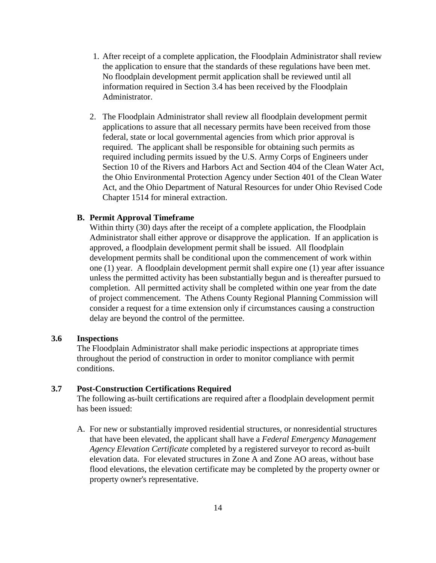- 1. After receipt of a complete application, the Floodplain Administrator shall review the application to ensure that the standards of these regulations have been met. No floodplain development permit application shall be reviewed until all information required in Section 3.4 has been received by the Floodplain Administrator.
- 2. The Floodplain Administrator shall review all floodplain development permit applications to assure that all necessary permits have been received from those federal, state or local governmental agencies from which prior approval is required. The applicant shall be responsible for obtaining such permits as required including permits issued by the U.S. Army Corps of Engineers under Section 10 of the Rivers and Harbors Act and Section 404 of the Clean Water Act, the Ohio Environmental Protection Agency under Section 401 of the Clean Water Act, and the Ohio Department of Natural Resources for under Ohio Revised Code Chapter 1514 for mineral extraction.

#### **B. Permit Approval Timeframe**

Within thirty (30) days after the receipt of a complete application, the Floodplain Administrator shall either approve or disapprove the application. If an application is approved, a floodplain development permit shall be issued. All floodplain development permits shall be conditional upon the commencement of work within one (1) year. A floodplain development permit shall expire one (1) year after issuance unless the permitted activity has been substantially begun and is thereafter pursued to completion. All permitted activity shall be completed within one year from the date of project commencement. The Athens County Regional Planning Commission will consider a request for a time extension only if circumstances causing a construction delay are beyond the control of the permittee.

#### **3.6 Inspections**

The Floodplain Administrator shall make periodic inspections at appropriate times throughout the period of construction in order to monitor compliance with permit conditions.

# **3.7 Post-Construction Certifications Required**

The following as-built certifications are required after a floodplain development permit has been issued:

A. For new or substantially improved residential structures, or nonresidential structures that have been elevated, the applicant shall have a *Federal Emergency Management Agency Elevation Certificate* completed by a registered surveyor to record as-built elevation data. For elevated structures in Zone A and Zone AO areas, without base flood elevations, the elevation certificate may be completed by the property owner or property owner's representative.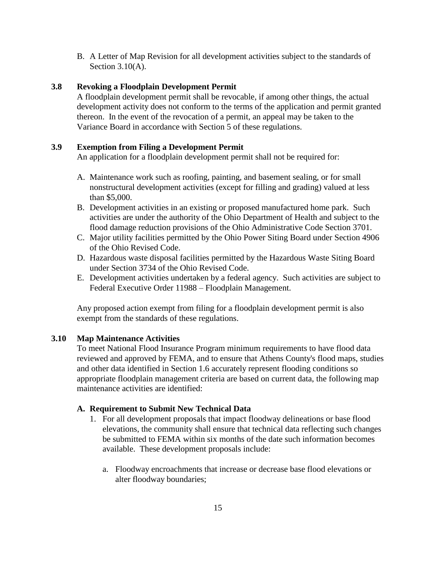B. A Letter of Map Revision for all development activities subject to the standards of Section 3.10(A).

# **3.8 Revoking a Floodplain Development Permit**

A floodplain development permit shall be revocable, if among other things, the actual development activity does not conform to the terms of the application and permit granted thereon. In the event of the revocation of a permit, an appeal may be taken to the Variance Board in accordance with Section 5 of these regulations.

#### **3.9 Exemption from Filing a Development Permit**

An application for a floodplain development permit shall not be required for:

- A. Maintenance work such as roofing, painting, and basement sealing, or for small nonstructural development activities (except for filling and grading) valued at less than \$5,000.
- B. Development activities in an existing or proposed manufactured home park. Such activities are under the authority of the Ohio Department of Health and subject to the flood damage reduction provisions of the Ohio Administrative Code Section 3701.
- C. Major utility facilities permitted by the Ohio Power Siting Board under Section 4906 of the Ohio Revised Code.
- D. Hazardous waste disposal facilities permitted by the Hazardous Waste Siting Board under Section 3734 of the Ohio Revised Code.
- E. Development activities undertaken by a federal agency. Such activities are subject to Federal Executive Order 11988 – Floodplain Management.

Any proposed action exempt from filing for a floodplain development permit is also exempt from the standards of these regulations.

#### **3.10 Map Maintenance Activities**

To meet National Flood Insurance Program minimum requirements to have flood data reviewed and approved by FEMA, and to ensure that Athens County's flood maps, studies and other data identified in Section 1.6 accurately represent flooding conditions so appropriate floodplain management criteria are based on current data, the following map maintenance activities are identified:

#### **A. Requirement to Submit New Technical Data**

- 1. For all development proposals that impact floodway delineations or base flood elevations, the community shall ensure that technical data reflecting such changes be submitted to FEMA within six months of the date such information becomes available. These development proposals include:
	- a. Floodway encroachments that increase or decrease base flood elevations or alter floodway boundaries;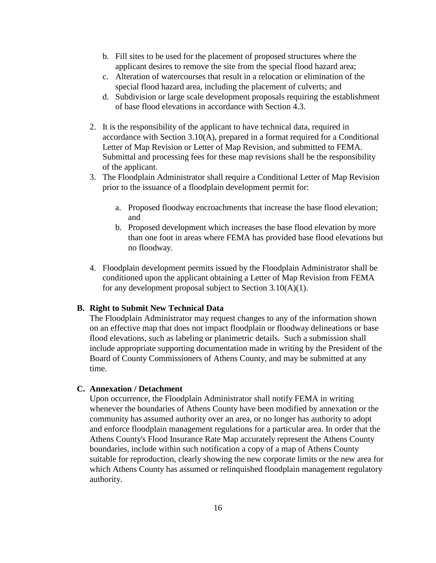- b. Fill sites to be used for the placement of proposed structures where the applicant desires to remove the site from the special flood hazard area;
- c. Alteration of watercourses that result in a relocation or elimination of the special flood hazard area, including the placement of culverts; and
- d. Subdivision or large scale development proposals requiring the establishment of base flood elevations in accordance with Section 4.3.
- 2. It is the responsibility of the applicant to have technical data, required in accordance with Section 3.10(A), prepared in a format required for a Conditional Letter of Map Revision or Letter of Map Revision, and submitted to FEMA. Submittal and processing fees for these map revisions shall be the responsibility of the applicant.
- 3. The Floodplain Administrator shall require a Conditional Letter of Map Revision prior to the issuance of a floodplain development permit for:
	- a. Proposed floodway encroachments that increase the base flood elevation; and
	- b. Proposed development which increases the base flood elevation by more than one foot in areas where FEMA has provided base flood elevations but no floodway.
- 4. Floodplain development permits issued by the Floodplain Administrator shall be conditioned upon the applicant obtaining a Letter of Map Revision from FEMA for any development proposal subject to Section 3.10(A)(1).

#### **B. Right to Submit New Technical Data**

The Floodplain Administrator may request changes to any of the information shown on an effective map that does not impact floodplain or floodway delineations or base flood elevations, such as labeling or planimetric details. Such a submission shall include appropriate supporting documentation made in writing by the President of the Board of County Commissioners of Athens County, and may be submitted at any time.

#### **C. Annexation / Detachment**

Upon occurrence, the Floodplain Administrator shall notify FEMA in writing whenever the boundaries of Athens County have been modified by annexation or the community has assumed authority over an area, or no longer has authority to adopt and enforce floodplain management regulations for a particular area. In order that the Athens County's Flood Insurance Rate Map accurately represent the Athens County boundaries, include within such notification a copy of a map of Athens County suitable for reproduction, clearly showing the new corporate limits or the new area for which Athens County has assumed or relinquished floodplain management regulatory authority.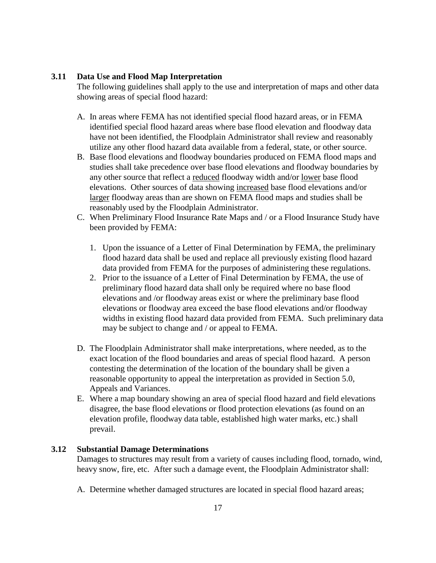## **3.11 Data Use and Flood Map Interpretation**

The following guidelines shall apply to the use and interpretation of maps and other data showing areas of special flood hazard:

- A. In areas where FEMA has not identified special flood hazard areas, or in FEMA identified special flood hazard areas where base flood elevation and floodway data have not been identified, the Floodplain Administrator shall review and reasonably utilize any other flood hazard data available from a federal, state, or other source.
- B. Base flood elevations and floodway boundaries produced on FEMA flood maps and studies shall take precedence over base flood elevations and floodway boundaries by any other source that reflect a reduced floodway width and/or lower base flood elevations. Other sources of data showing increased base flood elevations and/or larger floodway areas than are shown on FEMA flood maps and studies shall be reasonably used by the Floodplain Administrator.
- C. When Preliminary Flood Insurance Rate Maps and / or a Flood Insurance Study have been provided by FEMA:
	- 1. Upon the issuance of a Letter of Final Determination by FEMA, the preliminary flood hazard data shall be used and replace all previously existing flood hazard data provided from FEMA for the purposes of administering these regulations.
	- 2. Prior to the issuance of a Letter of Final Determination by FEMA, the use of preliminary flood hazard data shall only be required where no base flood elevations and /or floodway areas exist or where the preliminary base flood elevations or floodway area exceed the base flood elevations and/or floodway widths in existing flood hazard data provided from FEMA. Such preliminary data may be subject to change and / or appeal to FEMA.
- D. The Floodplain Administrator shall make interpretations, where needed, as to the exact location of the flood boundaries and areas of special flood hazard. A person contesting the determination of the location of the boundary shall be given a reasonable opportunity to appeal the interpretation as provided in Section 5.0, Appeals and Variances.
- E. Where a map boundary showing an area of special flood hazard and field elevations disagree, the base flood elevations or flood protection elevations (as found on an elevation profile, floodway data table, established high water marks, etc.) shall prevail.

#### **3.12 Substantial Damage Determinations**

Damages to structures may result from a variety of causes including flood, tornado, wind, heavy snow, fire, etc. After such a damage event, the Floodplain Administrator shall:

A. Determine whether damaged structures are located in special flood hazard areas;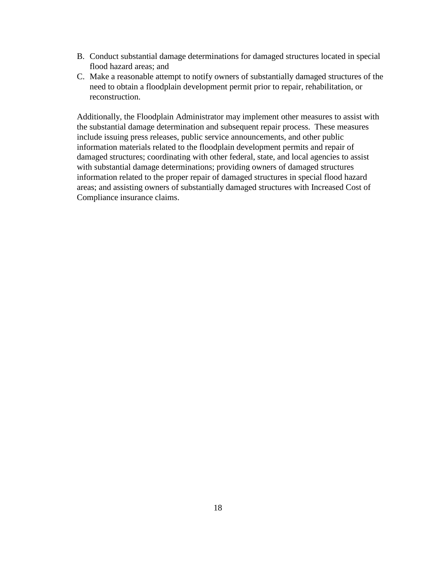- B. Conduct substantial damage determinations for damaged structures located in special flood hazard areas; and
- C. Make a reasonable attempt to notify owners of substantially damaged structures of the need to obtain a floodplain development permit prior to repair, rehabilitation, or reconstruction.

Additionally, the Floodplain Administrator may implement other measures to assist with the substantial damage determination and subsequent repair process. These measures include issuing press releases, public service announcements, and other public information materials related to the floodplain development permits and repair of damaged structures; coordinating with other federal, state, and local agencies to assist with substantial damage determinations; providing owners of damaged structures information related to the proper repair of damaged structures in special flood hazard areas; and assisting owners of substantially damaged structures with Increased Cost of Compliance insurance claims.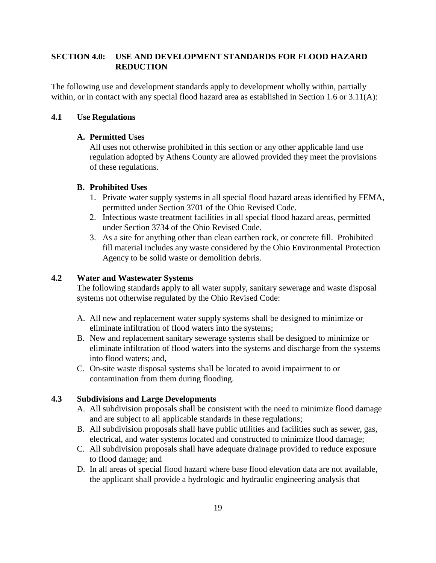# **SECTION 4.0: USE AND DEVELOPMENT STANDARDS FOR FLOOD HAZARD REDUCTION**

The following use and development standards apply to development wholly within, partially within, or in contact with any special flood hazard area as established in Section 1.6 or 3.11(A):

# **4.1 Use Regulations**

# **A. Permitted Uses**

All uses not otherwise prohibited in this section or any other applicable land use regulation adopted by Athens County are allowed provided they meet the provisions of these regulations.

## **B. Prohibited Uses**

- 1. Private water supply systems in all special flood hazard areas identified by FEMA, permitted under Section 3701 of the Ohio Revised Code.
- 2. Infectious waste treatment facilities in all special flood hazard areas, permitted under Section 3734 of the Ohio Revised Code.
- 3. As a site for anything other than clean earthen rock, or concrete fill. Prohibited fill material includes any waste considered by the Ohio Environmental Protection Agency to be solid waste or demolition debris.

# **4.2 Water and Wastewater Systems**

The following standards apply to all water supply, sanitary sewerage and waste disposal systems not otherwise regulated by the Ohio Revised Code:

- A. All new and replacement water supply systems shall be designed to minimize or eliminate infiltration of flood waters into the systems;
- B. New and replacement sanitary sewerage systems shall be designed to minimize or eliminate infiltration of flood waters into the systems and discharge from the systems into flood waters; and,
- C. On-site waste disposal systems shall be located to avoid impairment to or contamination from them during flooding.

# **4.3 Subdivisions and Large Developments**

- A. All subdivision proposals shall be consistent with the need to minimize flood damage and are subject to all applicable standards in these regulations;
- B. All subdivision proposals shall have public utilities and facilities such as sewer, gas, electrical, and water systems located and constructed to minimize flood damage;
- C. All subdivision proposals shall have adequate drainage provided to reduce exposure to flood damage; and
- D. In all areas of special flood hazard where base flood elevation data are not available, the applicant shall provide a hydrologic and hydraulic engineering analysis that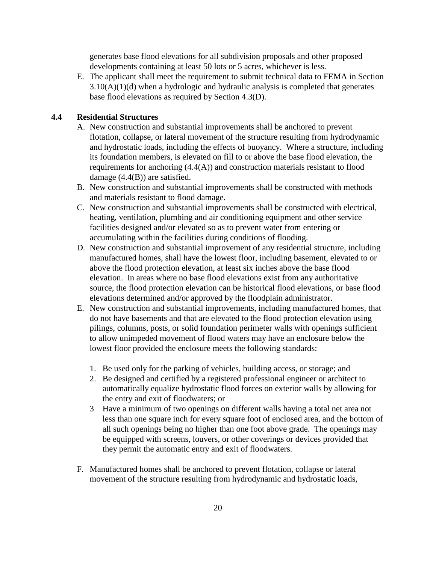generates base flood elevations for all subdivision proposals and other proposed developments containing at least 50 lots or 5 acres, whichever is less.

E. The applicant shall meet the requirement to submit technical data to FEMA in Section  $3.10(A)(1)(d)$  when a hydrologic and hydraulic analysis is completed that generates base flood elevations as required by Section 4.3(D).

# **4.4 Residential Structures**

- A. New construction and substantial improvements shall be anchored to prevent flotation, collapse, or lateral movement of the structure resulting from hydrodynamic and hydrostatic loads, including the effects of buoyancy. Where a structure, including its foundation members, is elevated on fill to or above the base flood elevation, the requirements for anchoring (4.4(A)) and construction materials resistant to flood damage (4.4(B)) are satisfied.
- B. New construction and substantial improvements shall be constructed with methods and materials resistant to flood damage.
- C. New construction and substantial improvements shall be constructed with electrical, heating, ventilation, plumbing and air conditioning equipment and other service facilities designed and/or elevated so as to prevent water from entering or accumulating within the facilities during conditions of flooding.
- D. New construction and substantial improvement of any residential structure, including manufactured homes, shall have the lowest floor, including basement, elevated to or above the flood protection elevation, at least six inches above the base flood elevation. In areas where no base flood elevations exist from any authoritative source, the flood protection elevation can be historical flood elevations, or base flood elevations determined and/or approved by the floodplain administrator.
- E. New construction and substantial improvements, including manufactured homes, that do not have basements and that are elevated to the flood protection elevation using pilings, columns, posts, or solid foundation perimeter walls with openings sufficient to allow unimpeded movement of flood waters may have an enclosure below the lowest floor provided the enclosure meets the following standards:
	- 1. Be used only for the parking of vehicles, building access, or storage; and
	- 2. Be designed and certified by a registered professional engineer or architect to automatically equalize hydrostatic flood forces on exterior walls by allowing for the entry and exit of floodwaters; or
	- 3 Have a minimum of two openings on different walls having a total net area not less than one square inch for every square foot of enclosed area, and the bottom of all such openings being no higher than one foot above grade. The openings may be equipped with screens, louvers, or other coverings or devices provided that they permit the automatic entry and exit of floodwaters.
- F. Manufactured homes shall be anchored to prevent flotation, collapse or lateral movement of the structure resulting from hydrodynamic and hydrostatic loads,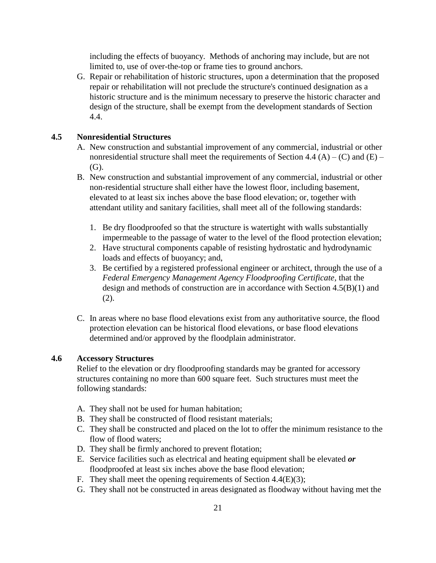including the effects of buoyancy. Methods of anchoring may include, but are not limited to, use of over-the-top or frame ties to ground anchors.

G. Repair or rehabilitation of historic structures, upon a determination that the proposed repair or rehabilitation will not preclude the structure's continued designation as a historic structure and is the minimum necessary to preserve the historic character and design of the structure, shall be exempt from the development standards of Section 4.4.

# **4.5 Nonresidential Structures**

- A. New construction and substantial improvement of any commercial, industrial or other nonresidential structure shall meet the requirements of Section 4.4 (A) – (C) and (E) – (G).
- B. New construction and substantial improvement of any commercial, industrial or other non-residential structure shall either have the lowest floor, including basement, elevated to at least six inches above the base flood elevation; or, together with attendant utility and sanitary facilities, shall meet all of the following standards:
	- 1. Be dry floodproofed so that the structure is watertight with walls substantially impermeable to the passage of water to the level of the flood protection elevation;
	- 2. Have structural components capable of resisting hydrostatic and hydrodynamic loads and effects of buoyancy; and,
	- 3. Be certified by a registered professional engineer or architect, through the use of a *Federal Emergency Management Agency Floodproofing Certificate,* that the design and methods of construction are in accordance with Section 4.5(B)(1) and (2).
- C. In areas where no base flood elevations exist from any authoritative source, the flood protection elevation can be historical flood elevations, or base flood elevations determined and/or approved by the floodplain administrator.

#### **4.6 Accessory Structures**

Relief to the elevation or dry floodproofing standards may be granted for accessory structures containing no more than 600 square feet. Such structures must meet the following standards:

- A. They shall not be used for human habitation;
- B. They shall be constructed of flood resistant materials;
- C. They shall be constructed and placed on the lot to offer the minimum resistance to the flow of flood waters;
- D. They shall be firmly anchored to prevent flotation;
- E. Service facilities such as electrical and heating equipment shall be elevated *or*  floodproofed at least six inches above the base flood elevation;
- F. They shall meet the opening requirements of Section 4.4(E)(3);
- G. They shall not be constructed in areas designated as floodway without having met the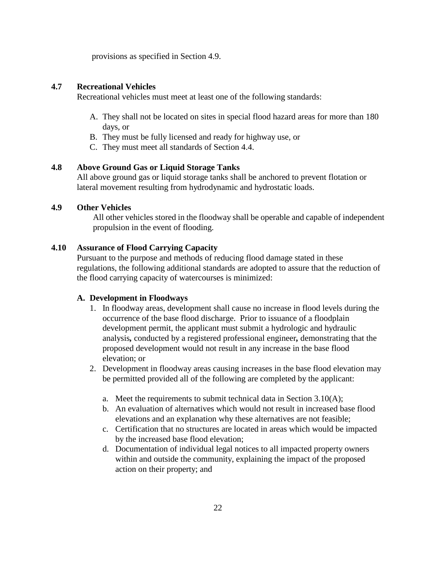provisions as specified in Section 4.9.

## **4.7 Recreational Vehicles**

Recreational vehicles must meet at least one of the following standards:

- A. They shall not be located on sites in special flood hazard areas for more than 180 days, or
- B. They must be fully licensed and ready for highway use, or
- C. They must meet all standards of Section 4.4.

## **4.8 Above Ground Gas or Liquid Storage Tanks**

All above ground gas or liquid storage tanks shall be anchored to prevent flotation or lateral movement resulting from hydrodynamic and hydrostatic loads.

### **4.9 Other Vehicles**

All other vehicles stored in the floodway shall be operable and capable of independent propulsion in the event of flooding.

## **4.10 Assurance of Flood Carrying Capacity**

Pursuant to the purpose and methods of reducing flood damage stated in these regulations, the following additional standards are adopted to assure that the reduction of the flood carrying capacity of watercourses is minimized:

#### **A. Development in Floodways**

- 1. In floodway areas, development shall cause no increase in flood levels during the occurrence of the base flood discharge. Prior to issuance of a floodplain development permit, the applicant must submit a hydrologic and hydraulic analysis*,* conducted by a registered professional engineer*,* demonstrating that the proposed development would not result in any increase in the base flood elevation; or
- 2. Development in floodway areas causing increases in the base flood elevation may be permitted provided all of the following are completed by the applicant:
	- a. Meet the requirements to submit technical data in Section 3.10(A);
	- b. An evaluation of alternatives which would not result in increased base flood elevations and an explanation why these alternatives are not feasible;
	- c. Certification that no structures are located in areas which would be impacted by the increased base flood elevation;
	- d. Documentation of individual legal notices to all impacted property owners within and outside the community, explaining the impact of the proposed action on their property; and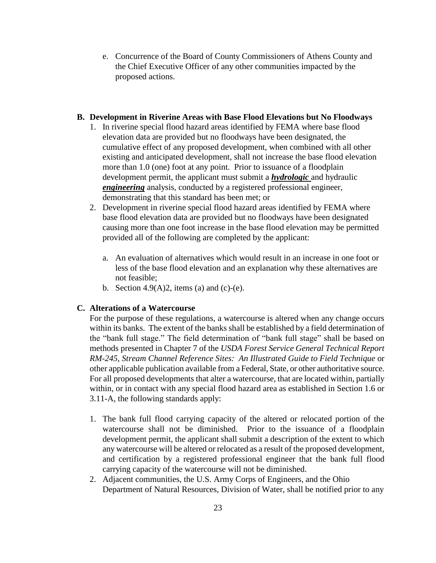e. Concurrence of the Board of County Commissioners of Athens County and the Chief Executive Officer of any other communities impacted by the proposed actions.

## **B. Development in Riverine Areas with Base Flood Elevations but No Floodways**

- 1. In riverine special flood hazard areas identified by FEMA where base flood elevation data are provided but no floodways have been designated, the cumulative effect of any proposed development, when combined with all other existing and anticipated development, shall not increase the base flood elevation more than 1.0 (one) foot at any point. Prior to issuance of a floodplain development permit, the applicant must submit a *hydrologic* and hydraulic *engineering* analysis, conducted by a registered professional engineer, demonstrating that this standard has been met; or
- 2. Development in riverine special flood hazard areas identified by FEMA where base flood elevation data are provided but no floodways have been designated causing more than one foot increase in the base flood elevation may be permitted provided all of the following are completed by the applicant:
	- a. An evaluation of alternatives which would result in an increase in one foot or less of the base flood elevation and an explanation why these alternatives are not feasible;
	- b. Section 4.9(A)2, items (a) and (c)-(e).

#### **C. Alterations of a Watercourse**

For the purpose of these regulations, a watercourse is altered when any change occurs within its banks. The extent of the banks shall be established by a field determination of the "bank full stage." The field determination of "bank full stage" shall be based on methods presented in Chapter 7 of the *USDA Forest Service General Technical Report RM-245, Stream Channel Reference Sites: An Illustrated Guide to Field Technique* or other applicable publication available from a Federal, State, or other authoritative source. For all proposed developments that alter a watercourse, that are located within, partially within, or in contact with any special flood hazard area as established in Section 1.6 or 3.11-A, the following standards apply:

- 1. The bank full flood carrying capacity of the altered or relocated portion of the watercourse shall not be diminished. Prior to the issuance of a floodplain development permit, the applicant shall submit a description of the extent to which any watercourse will be altered or relocated as a result of the proposed development, and certification by a registered professional engineer that the bank full flood carrying capacity of the watercourse will not be diminished.
- 2. Adjacent communities, the U.S. Army Corps of Engineers, and the Ohio Department of Natural Resources, Division of Water, shall be notified prior to any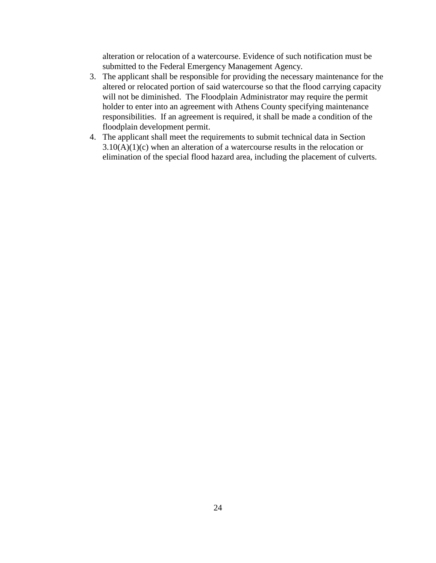alteration or relocation of a watercourse. Evidence of such notification must be submitted to the Federal Emergency Management Agency.

- 3. The applicant shall be responsible for providing the necessary maintenance for the altered or relocated portion of said watercourse so that the flood carrying capacity will not be diminished. The Floodplain Administrator may require the permit holder to enter into an agreement with Athens County specifying maintenance responsibilities. If an agreement is required, it shall be made a condition of the floodplain development permit.
- 4. The applicant shall meet the requirements to submit technical data in Section  $3.10(A)(1)(c)$  when an alteration of a watercourse results in the relocation or elimination of the special flood hazard area, including the placement of culverts.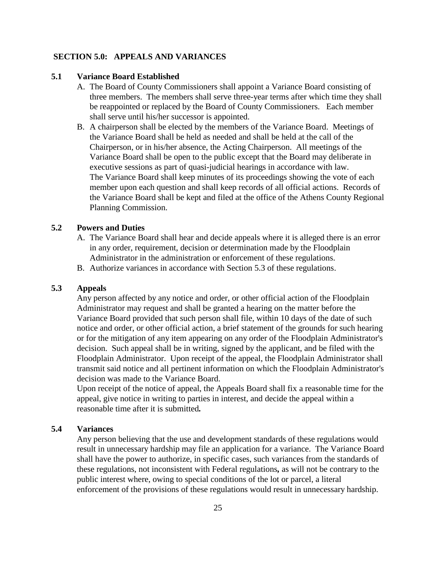#### **SECTION 5.0: APPEALS AND VARIANCES**

#### **5.1 Variance Board Established**

- A. The Board of County Commissioners shall appoint a Variance Board consisting of three members. The members shall serve three-year terms after which time they shall be reappointed or replaced by the Board of County Commissioners. Each member shall serve until his/her successor is appointed.
- B. A chairperson shall be elected by the members of the Variance Board. Meetings of the Variance Board shall be held as needed and shall be held at the call of the Chairperson, or in his/her absence, the Acting Chairperson. All meetings of the Variance Board shall be open to the public except that the Board may deliberate in executive sessions as part of quasi-judicial hearings in accordance with law. The Variance Board shall keep minutes of its proceedings showing the vote of each member upon each question and shall keep records of all official actions. Records of the Variance Board shall be kept and filed at the office of the Athens County Regional Planning Commission.

#### **5.2 Powers and Duties**

- A. The Variance Board shall hear and decide appeals where it is alleged there is an error in any order, requirement, decision or determination made by the Floodplain Administrator in the administration or enforcement of these regulations.
- B. Authorize variances in accordance with Section 5.3 of these regulations.

#### **5.3 Appeals**

Any person affected by any notice and order, or other official action of the Floodplain Administrator may request and shall be granted a hearing on the matter before the Variance Board provided that such person shall file, within 10 days of the date of such notice and order, or other official action, a brief statement of the grounds for such hearing or for the mitigation of any item appearing on any order of the Floodplain Administrator's decision. Such appeal shall be in writing, signed by the applicant, and be filed with the Floodplain Administrator. Upon receipt of the appeal, the Floodplain Administrator shall transmit said notice and all pertinent information on which the Floodplain Administrator's decision was made to the Variance Board.

Upon receipt of the notice of appeal, the Appeals Board shall fix a reasonable time for the appeal, give notice in writing to parties in interest, and decide the appeal within a reasonable time after it is submitted*.*

#### **5.4 Variances**

Any person believing that the use and development standards of these regulations would result in unnecessary hardship may file an application for a variance. The Variance Board shall have the power to authorize, in specific cases, such variances from the standards of these regulations, not inconsistent with Federal regulations*,* as will not be contrary to the public interest where, owing to special conditions of the lot or parcel, a literal enforcement of the provisions of these regulations would result in unnecessary hardship.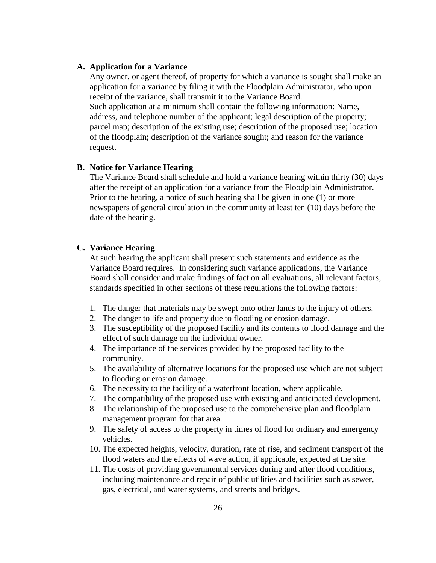#### **A. Application for a Variance**

Any owner, or agent thereof, of property for which a variance is sought shall make an application for a variance by filing it with the Floodplain Administrator, who upon receipt of the variance, shall transmit it to the Variance Board. Such application at a minimum shall contain the following information: Name, address, and telephone number of the applicant; legal description of the property; parcel map; description of the existing use; description of the proposed use; location of the floodplain; description of the variance sought; and reason for the variance request.

#### **B. Notice for Variance Hearing**

The Variance Board shall schedule and hold a variance hearing within thirty (30) days after the receipt of an application for a variance from the Floodplain Administrator. Prior to the hearing, a notice of such hearing shall be given in one (1) or more newspapers of general circulation in the community at least ten (10) days before the date of the hearing.

#### **C. Variance Hearing**

At such hearing the applicant shall present such statements and evidence as the Variance Board requires. In considering such variance applications, the Variance Board shall consider and make findings of fact on all evaluations, all relevant factors, standards specified in other sections of these regulations the following factors:

- 1. The danger that materials may be swept onto other lands to the injury of others.
- 2. The danger to life and property due to flooding or erosion damage.
- 3. The susceptibility of the proposed facility and its contents to flood damage and the effect of such damage on the individual owner.
- 4. The importance of the services provided by the proposed facility to the community.
- 5. The availability of alternative locations for the proposed use which are not subject to flooding or erosion damage.
- 6. The necessity to the facility of a waterfront location, where applicable.
- 7. The compatibility of the proposed use with existing and anticipated development.
- 8. The relationship of the proposed use to the comprehensive plan and floodplain management program for that area.
- 9. The safety of access to the property in times of flood for ordinary and emergency vehicles.
- 10. The expected heights, velocity, duration, rate of rise, and sediment transport of the flood waters and the effects of wave action, if applicable, expected at the site.
- 11. The costs of providing governmental services during and after flood conditions, including maintenance and repair of public utilities and facilities such as sewer, gas, electrical, and water systems, and streets and bridges.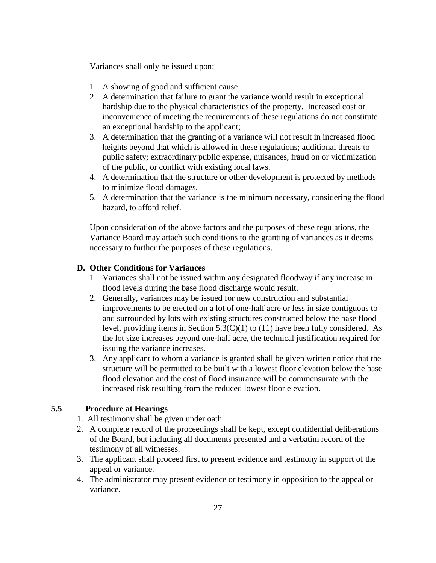Variances shall only be issued upon:

- 1. A showing of good and sufficient cause.
- 2. A determination that failure to grant the variance would result in exceptional hardship due to the physical characteristics of the property. Increased cost or inconvenience of meeting the requirements of these regulations do not constitute an exceptional hardship to the applicant;
- 3. A determination that the granting of a variance will not result in increased flood heights beyond that which is allowed in these regulations; additional threats to public safety; extraordinary public expense, nuisances, fraud on or victimization of the public, or conflict with existing local laws.
- 4. A determination that the structure or other development is protected by methods to minimize flood damages.
- 5. A determination that the variance is the minimum necessary, considering the flood hazard, to afford relief.

Upon consideration of the above factors and the purposes of these regulations, the Variance Board may attach such conditions to the granting of variances as it deems necessary to further the purposes of these regulations.

# **D. Other Conditions for Variances**

- 1. Variances shall not be issued within any designated floodway if any increase in flood levels during the base flood discharge would result.
- 2. Generally, variances may be issued for new construction and substantial improvements to be erected on a lot of one-half acre or less in size contiguous to and surrounded by lots with existing structures constructed below the base flood level, providing items in Section 5.3(C)(1) to (11) have been fully considered. As the lot size increases beyond one-half acre, the technical justification required for issuing the variance increases.
- 3. Any applicant to whom a variance is granted shall be given written notice that the structure will be permitted to be built with a lowest floor elevation below the base flood elevation and the cost of flood insurance will be commensurate with the increased risk resulting from the reduced lowest floor elevation.

# **5.5 Procedure at Hearings**

- 1. All testimony shall be given under oath.
- 2. A complete record of the proceedings shall be kept, except confidential deliberations of the Board, but including all documents presented and a verbatim record of the testimony of all witnesses.
- 3. The applicant shall proceed first to present evidence and testimony in support of the appeal or variance.
- 4. The administrator may present evidence or testimony in opposition to the appeal or variance.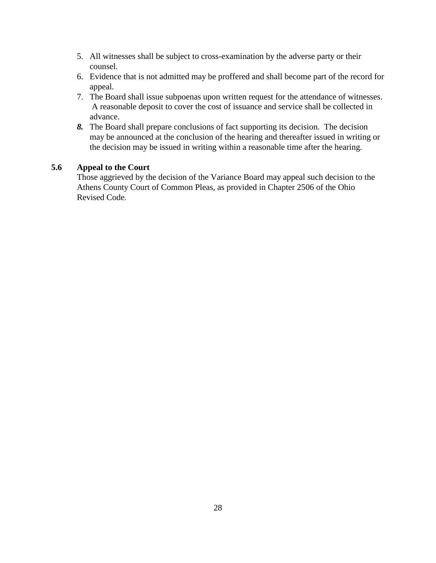- 5. All witnesses shall be subject to cross-examination by the adverse party or their counsel.
- 6. Evidence that is not admitted may be proffered and shall become part of the record for appeal.
- 7. The Board shall issue subpoenas upon written request for the attendance of witnesses. A reasonable deposit to cover the cost of issuance and service shall be collected in advance.
- *8.* The Board shall prepare conclusions of fact supporting its decision. The decision may be announced at the conclusion of the hearing and thereafter issued in writing or the decision may be issued in writing within a reasonable time after the hearing.

# **5.6 Appeal to the Court**

Those aggrieved by the decision of the Variance Board may appeal such decision to the Athens County Court of Common Pleas, as provided in Chapter 2506 of the Ohio Revised Code.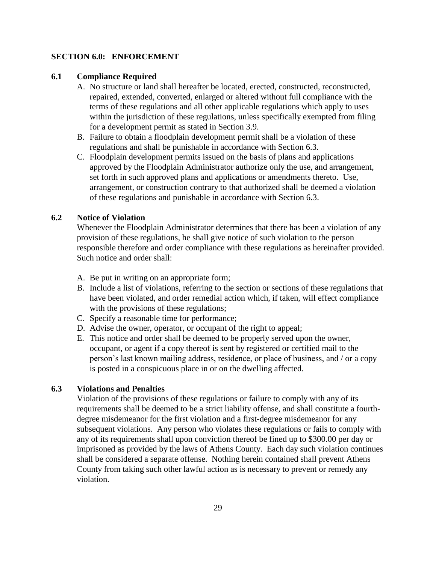#### **SECTION 6.0: ENFORCEMENT**

#### **6.1 Compliance Required**

- A. No structure or land shall hereafter be located, erected, constructed, reconstructed, repaired, extended, converted, enlarged or altered without full compliance with the terms of these regulations and all other applicable regulations which apply to uses within the jurisdiction of these regulations, unless specifically exempted from filing for a development permit as stated in Section 3.9.
- B. Failure to obtain a floodplain development permit shall be a violation of these regulations and shall be punishable in accordance with Section 6.3.
- C. Floodplain development permits issued on the basis of plans and applications approved by the Floodplain Administrator authorize only the use, and arrangement, set forth in such approved plans and applications or amendments thereto. Use, arrangement, or construction contrary to that authorized shall be deemed a violation of these regulations and punishable in accordance with Section 6.3.

## **6.2 Notice of Violation**

Whenever the Floodplain Administrator determines that there has been a violation of any provision of these regulations, he shall give notice of such violation to the person responsible therefore and order compliance with these regulations as hereinafter provided. Such notice and order shall:

- A. Be put in writing on an appropriate form;
- B. Include a list of violations, referring to the section or sections of these regulations that have been violated, and order remedial action which, if taken, will effect compliance with the provisions of these regulations;
- C. Specify a reasonable time for performance;
- D. Advise the owner, operator, or occupant of the right to appeal;
- E. This notice and order shall be deemed to be properly served upon the owner, occupant, or agent if a copy thereof is sent by registered or certified mail to the person's last known mailing address, residence, or place of business, and / or a copy is posted in a conspicuous place in or on the dwelling affected.

# **6.3 Violations and Penalties**

Violation of the provisions of these regulations or failure to comply with any of its requirements shall be deemed to be a strict liability offense, and shall constitute a fourthdegree misdemeanor for the first violation and a first-degree misdemeanor for any subsequent violations. Any person who violates these regulations or fails to comply with any of its requirements shall upon conviction thereof be fined up to \$300.00 per day or imprisoned as provided by the laws of Athens County. Each day such violation continues shall be considered a separate offense. Nothing herein contained shall prevent Athens County from taking such other lawful action as is necessary to prevent or remedy any violation.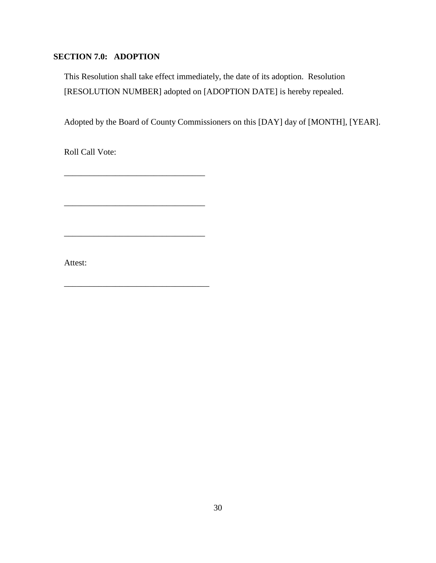# **SECTION 7.0: ADOPTION**

This Resolution shall take effect immediately, the date of its adoption. Resolution [RESOLUTION NUMBER] adopted on [ADOPTION DATE] is hereby repealed.

Adopted by the Board of County Commissioners on this [DAY] day of [MONTH], [YEAR].

Roll Call Vote:

\_\_\_\_\_\_\_\_\_\_\_\_\_\_\_\_\_\_\_\_\_\_\_\_\_\_\_\_\_\_\_\_\_

\_\_\_\_\_\_\_\_\_\_\_\_\_\_\_\_\_\_\_\_\_\_\_\_\_\_\_\_\_\_\_\_\_

\_\_\_\_\_\_\_\_\_\_\_\_\_\_\_\_\_\_\_\_\_\_\_\_\_\_\_\_\_\_\_\_\_

\_\_\_\_\_\_\_\_\_\_\_\_\_\_\_\_\_\_\_\_\_\_\_\_\_\_\_\_\_\_\_\_\_\_

Attest: